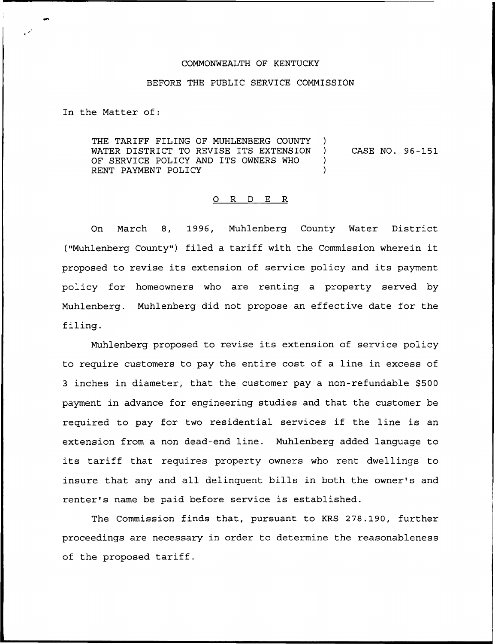## COMMONWEALTH OF KENTUCKY

## BEFORE THE PUBLIC SERVICE COMMISSION

In the Matter of:

THE TARIFF FILING OF MUHLENBERG COUNTY )<br>WATER DISTRICT TO REVISE ITS EXTENSION ) WATER DISTRICT TO REVISE ITS EXTENSION ) CASE NO. 96-151 OF SERVICE POLICY AND ITS OWNERS WHO ) RENT PAYMENT POLICY

## 0 R <sup>D</sup> E R

On March 8, 1996, Muhlenberg County Water District ("Muhlenberg County") filed a tariff with the Commission wherein it proposed to revise its extension of service policy and its payment policy for homeowners who are renting a property served by Muhlenberg. Muhlenberg did not propose an effective date for the filing.

Muhlenberg proposed to revise its extension of service policy to require customers to pay the entire cost of a line in excess of 3 inches in diameter, that the customer pay a non-refundable \$500 payment in advance for engineering studies and that the customer be required to pay for two residential services if the line is an extension from a non dead-end line. Muhlenberg added language to its tariff that requires property owners who rent dwellings to insure that any and all delinquent bills in both the owner's and renter's name be paid before service is established.

The Commission finds that, pursuant to KRS 278.190, further proceedings are necessary in order to determine the reasonableness of the proposed tariff.